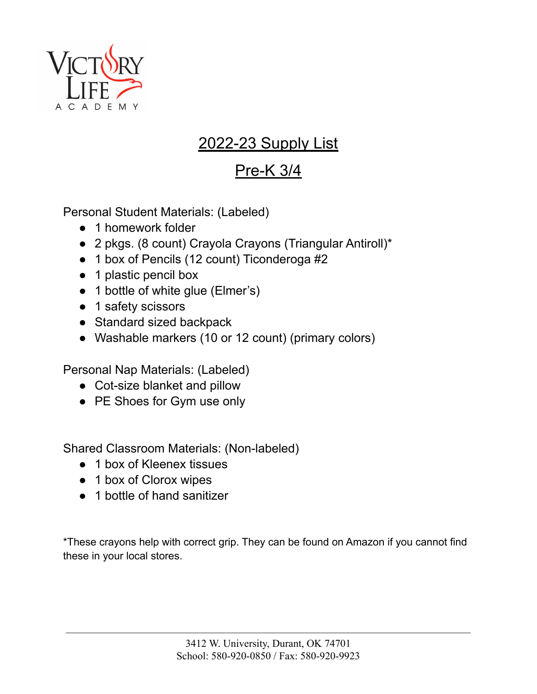

## Pre-K 3/4

Personal Student Materials: (Labeled)

- 1 homework folder
- 2 pkgs. (8 count) Crayola Crayons (Triangular Antiroll)\*
- 1 box of Pencils (12 count) Ticonderoga #2
- 1 plastic pencil box
- 1 bottle of white glue (Elmer's)
- 1 safety scissors
- Standard sized backpack
- Washable markers (10 or 12 count) (primary colors)

Personal Nap Materials: (Labeled)

- Cot-size blanket and pillow
- PE Shoes for Gym use only

Shared Classroom Materials: (Non-labeled)

- 1 box of Kleenex tissues
- 1 box of Clorox wipes
- 1 bottle of hand sanitizer

\*These crayons help with correct grip. They can be found on Amazon if you cannot find these in your local stores.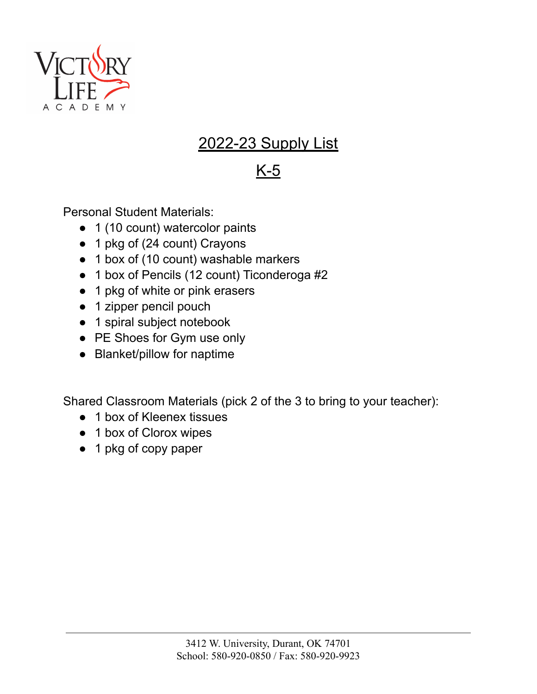

# K-5

Personal Student Materials:

- 1 (10 count) watercolor paints
- 1 pkg of (24 count) Crayons
- 1 box of (10 count) washable markers
- 1 box of Pencils (12 count) Ticonderoga #2
- 1 pkg of white or pink erasers
- 1 zipper pencil pouch
- 1 spiral subject notebook
- PE Shoes for Gym use only
- Blanket/pillow for naptime

Shared Classroom Materials (pick 2 of the 3 to bring to your teacher):

- 1 box of Kleenex tissues
- 1 box of Clorox wipes
- 1 pkg of copy paper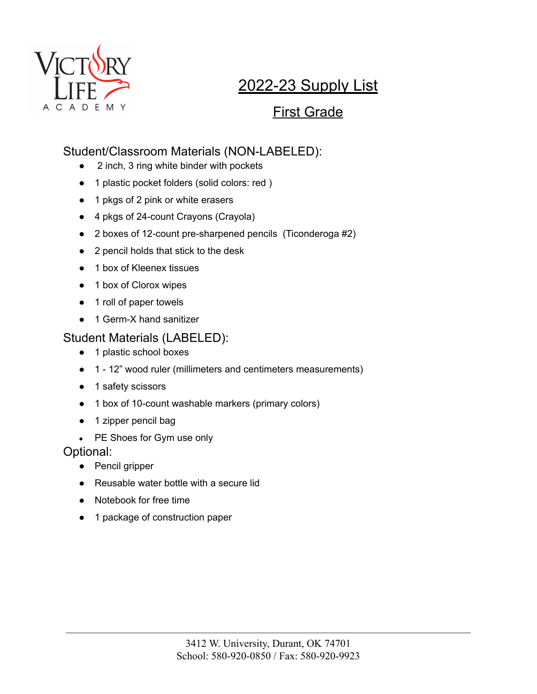

### First Grade

#### Student/Classroom Materials (NON-LABELED):

- 2 inch, 3 ring white binder with pockets
- 1 plastic pocket folders (solid colors: red )
- 1 pkgs of 2 pink or white erasers
- 4 pkgs of 24-count Crayons (Crayola)
- 2 boxes of 12-count pre-sharpened pencils (Ticonderoga #2)
- 2 pencil holds that stick to the desk
- 1 box of Kleenex tissues
- 1 box of Clorox wipes
- 1 roll of paper towels
- 1 Germ-X hand sanitizer

#### Student Materials (LABELED):

- 1 plastic school boxes
- 1 12" wood ruler (millimeters and centimeters measurements)
- 1 safety scissors
- 1 box of 10-count washable markers (primary colors)
- 1 zipper pencil bag
- PE Shoes for Gym use only

Optional:

- Pencil gripper
- Reusable water bottle with a secure lid
- Notebook for free time
- 1 package of construction paper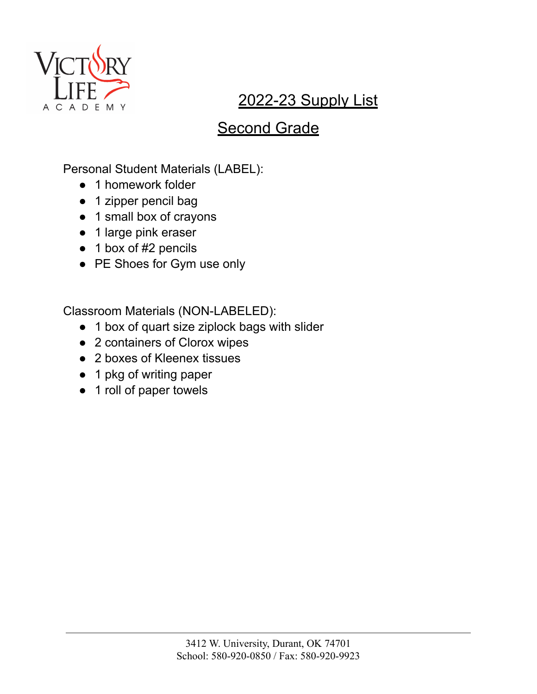

## **Second Grade**

Personal Student Materials (LABEL):

- 1 homework folder
- 1 zipper pencil bag
- 1 small box of crayons
- 1 large pink eraser
- 1 box of #2 pencils
- PE Shoes for Gym use only

Classroom Materials (NON-LABELED):

- 1 box of quart size ziplock bags with slider
- 2 containers of Clorox wipes
- 2 boxes of Kleenex tissues
- 1 pkg of writing paper
- 1 roll of paper towels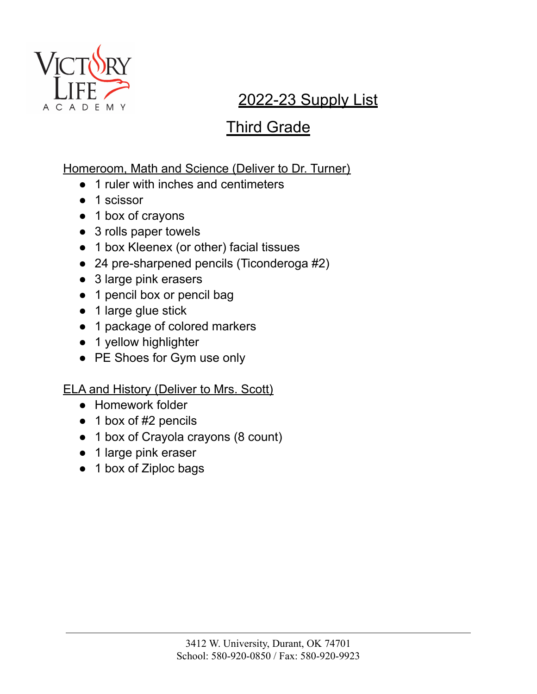

# **Third Grade**

#### Homeroom, Math and Science (Deliver to Dr. Turner)

- 1 ruler with inches and centimeters
- 1 scissor
- 1 box of crayons
- 3 rolls paper towels
- 1 box Kleenex (or other) facial tissues
- 24 pre-sharpened pencils (Ticonderoga #2)
- 3 large pink erasers
- 1 pencil box or pencil bag
- 1 large glue stick
- 1 package of colored markers
- 1 yellow highlighter
- PE Shoes for Gym use only

#### ELA and History (Deliver to Mrs. Scott)

- Homework folder
- 1 box of #2 pencils
- 1 box of Crayola crayons (8 count)
- 1 large pink eraser
- 1 box of Ziploc bags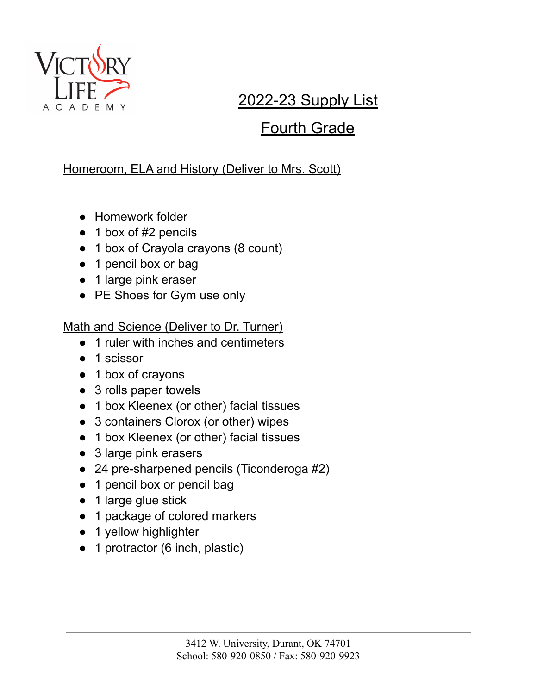

## Fourth Grade

#### Homeroom, ELA and History (Deliver to Mrs. Scott)

- Homework folder
- 1 box of #2 pencils
- 1 box of Crayola crayons (8 count)
- 1 pencil box or bag
- 1 large pink eraser
- PE Shoes for Gym use only

#### Math and Science (Deliver to Dr. Turner)

- 1 ruler with inches and centimeters
- 1 scissor
- 1 box of crayons
- 3 rolls paper towels
- 1 box Kleenex (or other) facial tissues
- 3 containers Clorox (or other) wipes
- 1 box Kleenex (or other) facial tissues
- 3 large pink erasers
- 24 pre-sharpened pencils (Ticonderoga #2)
- 1 pencil box or pencil bag
- 1 large glue stick
- 1 package of colored markers
- 1 yellow highlighter
- 1 protractor (6 inch, plastic)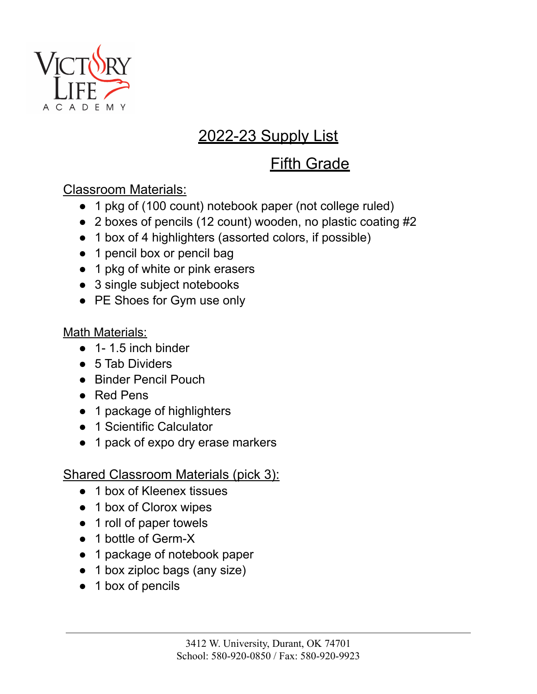

## Fifth Grade

Classroom Materials:

- 1 pkg of (100 count) notebook paper (not college ruled)
- 2 boxes of pencils (12 count) wooden, no plastic coating #2
- 1 box of 4 highlighters (assorted colors, if possible)
- 1 pencil box or pencil bag
- 1 pkg of white or pink erasers
- 3 single subject notebooks
- PE Shoes for Gym use only

#### Math Materials:

- 1-1.5 inch binder
- 5 Tab Dividers
- Binder Pencil Pouch
- Red Pens
- 1 package of highlighters
- 1 Scientific Calculator
- 1 pack of expo dry erase markers

#### Shared Classroom Materials (pick 3):

- 1 box of Kleenex tissues
- 1 box of Clorox wipes
- 1 roll of paper towels
- 1 bottle of Germ-X
- 1 package of notebook paper
- 1 box ziploc bags (any size)
- 1 box of pencils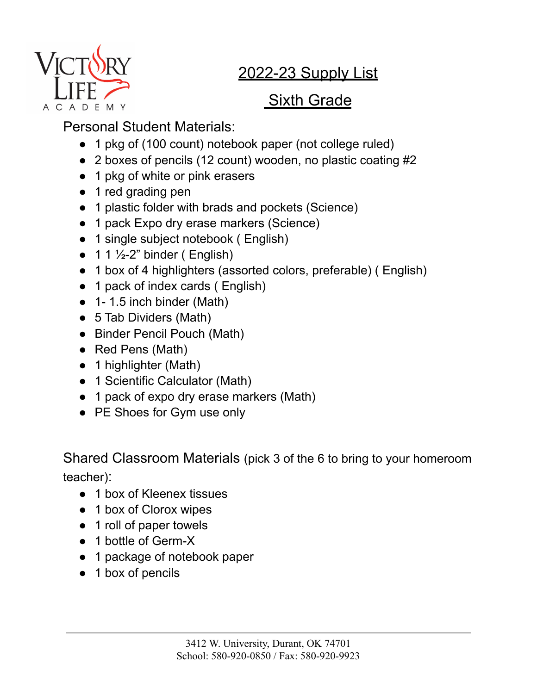

## **Sixth Grade**

### Personal Student Materials:

- 1 pkg of (100 count) notebook paper (not college ruled)
- 2 boxes of pencils (12 count) wooden, no plastic coating #2
- 1 pkg of white or pink erasers
- 1 red grading pen
- 1 plastic folder with brads and pockets (Science)
- 1 pack Expo dry erase markers (Science)
- 1 single subject notebook (English)
- $\bullet$  1 1 ½-2" binder (English)
- 1 box of 4 highlighters (assorted colors, preferable) ( English)
- 1 pack of index cards (English)
- $\bullet$  1-1.5 inch binder (Math)
- 5 Tab Dividers (Math)
- Binder Pencil Pouch (Math)
- Red Pens (Math)
- 1 highlighter (Math)
- 1 Scientific Calculator (Math)
- 1 pack of expo dry erase markers (Math)
- PE Shoes for Gym use only

Shared Classroom Materials (pick 3 of the 6 to bring to your homeroom teacher):

- 1 box of Kleenex tissues
- 1 box of Clorox wipes
- 1 roll of paper towels
- 1 bottle of Germ-X
- 1 package of notebook paper
- 1 box of pencils